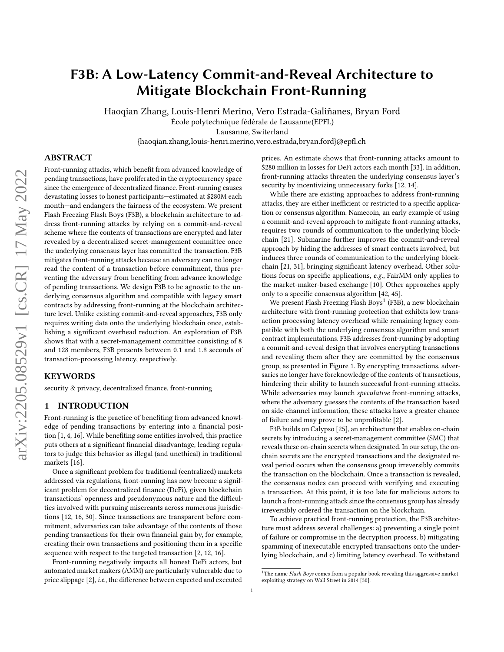# F3B: A Low-Latency Commit-and-Reveal Architecture to Mitigate Blockchain Front-Running

Haoqian Zhang, Louis-Henri Merino, Vero Estrada-Galiñanes, Bryan Ford École polytechnique fédérale de Lausanne(EPFL)

Lausanne, Switerland

{haoqian.zhang,louis-henri.merino,vero.estrada,bryan.ford}@epfl.ch

## ABSTRACT

Front-running attacks, which benefit from advanced knowledge of pending transactions, have proliferated in the cryptocurrency space since the emergence of decentralized finance. Front-running causes devastating losses to honest participants—estimated at \$280M each month—and endangers the fairness of the ecosystem. We present Flash Freezing Flash Boys (F3B), a blockchain architecture to address front-running attacks by relying on a commit-and-reveal scheme where the contents of transactions are encrypted and later revealed by a decentralized secret-management committee once the underlying consensus layer has committed the transaction. F3B mitigates front-running attacks because an adversary can no longer read the content of a transaction before commitment, thus preventing the adversary from benefiting from advance knowledge of pending transactions. We design F3B to be agnostic to the underlying consensus algorithm and compatible with legacy smart contracts by addressing front-running at the blockchain architecture level. Unlike existing commit-and-reveal approaches, F3B only requires writing data onto the underlying blockchain once, establishing a significant overhead reduction. An exploration of F3B shows that with a secret-management committee consisting of 8 and 128 members, F3B presents between 0.1 and 1.8 seconds of transaction-processing latency, respectively.

#### KEYWORDS

security & privacy, decentralized finance, front-running

## 1 INTRODUCTION

Front-running is the practice of benefiting from advanced knowledge of pending transactions by entering into a financial position [\[1,](#page-11-0) [4,](#page-11-1) [16\]](#page-11-2). While benefiting some entities involved, this practice puts others at a significant financial disadvantage, leading regulators to judge this behavior as illegal (and unethical) in traditional markets [\[16\]](#page-11-2).

Once a significant problem for traditional (centralized) markets addressed via regulations, front-running has now become a significant problem for decentralized finance (DeFi), given blockchain transactions' openness and pseudonymous nature and the difficulties involved with pursuing miscreants across numerous jurisdictions [\[12,](#page-11-3) [16,](#page-11-2) [30\]](#page-11-4). Since transactions are transparent before commitment, adversaries can take advantage of the contents of those pending transactions for their own financial gain by, for example, creating their own transactions and positioning them in a specific sequence with respect to the targeted transaction [\[2,](#page-11-5) [12,](#page-11-3) [16\]](#page-11-2).

Front-running negatively impacts all honest DeFi actors, but automated market makers (AMM) are particularly vulnerable due to price slippage [\[2\]](#page-11-5), i.e., the difference between expected and executed prices. An estimate shows that front-running attacks amount to \$280 million in losses for DeFi actors each month [\[33\]](#page-11-6). In addition, front-running attacks threaten the underlying consensus layer's security by incentivizing unnecessary forks [\[12,](#page-11-3) [14\]](#page-11-7).

While there are existing approaches to address front-running attacks, they are either inefficient or restricted to a specific application or consensus algorithm. Namecoin, an early example of using a commit-and-reveal approach to mitigate front-running attacks, requires two rounds of communication to the underlying blockchain [\[21\]](#page-11-8). Submarine further improves the commit-and-reveal approach by hiding the addresses of smart contracts involved, but induces three rounds of communication to the underlying blockchain [\[21,](#page-11-8) [31\]](#page-11-9), bringing significant latency overhead. Other solutions focus on specific applications, e.g., FairMM only applies to the market-maker-based exchange [\[10\]](#page-11-10). Other approaches apply only to a specific consensus algorithm [\[42,](#page-11-11) [45\]](#page-11-12).

We present Flash Freezing Flash Boys<sup>[1](#page-0-0)</sup> (F3B), a new blockchain architecture with front-running protection that exhibits low transaction processing latency overhead while remaining legacy compatible with both the underlying consensus algorithm and smart contract implementations. F3B addresses front-running by adopting a commit-and-reveal design that involves encrypting transactions and revealing them after they are committed by the consensus group, as presented in Figure [1.](#page-1-0) By encrypting transactions, adversaries no longer have foreknowledge of the contents of transactions, hindering their ability to launch successful front-running attacks. While adversaries may launch speculative front-running attacks, where the adversary guesses the contents of the transaction based on side-channel information, these attacks have a greater chance of failure and may prove to be unprofitable [\[2\]](#page-11-5).

F3B builds on Calypso [\[25\]](#page-11-13), an architecture that enables on-chain secrets by introducing a secret-management committee (SMC) that reveals these on-chain secrets when designated. In our setup, the onchain secrets are the encrypted transactions and the designated reveal period occurs when the consensus group irreversibly commits the transaction on the blockchain. Once a transaction is revealed, the consensus nodes can proceed with verifying and executing a transaction. At this point, it is too late for malicious actors to launch a front-running attack since the consensus group has already irreversibly ordered the transaction on the blockchain.

To achieve practical front-running protection, the F3B architecture must address several challenges: a) preventing a single point of failure or compromise in the decryption process, b) mitigating spamming of inexecutable encrypted transactions onto the underlying blockchain, and c) limiting latency overhead. To withstand

<span id="page-0-0"></span> $1$ The name Flash Boys comes from a popular book revealing this aggressive marketexploiting strategy on Wall Street in 2014 [\[30\]](#page-11-4).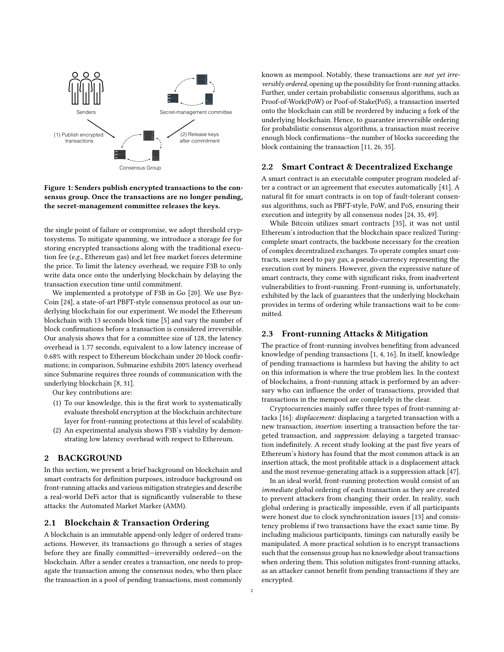<span id="page-1-0"></span>

## Figure 1: Senders publish encrypted transactions to the consensus group. Once the transactions are no longer pending, the secret-management committee releases the keys.

the single point of failure or compromise, we adopt threshold cryptosystems. To mitigate spamming, we introduce a storage fee for storing encrypted transactions along with the traditional execution fee (e.g., Ethereum gas) and let free market forces determine the price. To limit the latency overhead, we require F3B to only write data once onto the underlying blockchain by delaying the transaction execution time until commitment.

We implemented a prototype of F3B in Go [\[20\]](#page-11-14). We use Byz-Coin [\[24\]](#page-11-15), a state-of-art PBFT-style consensus protocol as our underlying blockchain for our experiment. We model the Ethereum blockchain with 13 seconds block time [\[5\]](#page-11-16) and vary the number of block confirmations before a transaction is considered irreversible. Our analysis shows that for a committee size of 128, the latency overhead is 1.77 seconds, equivalent to a low latency increase of 0.68% with respect to Ethereum blockchain under 20 block confirmations; in comparison, Submarine exhibits 200% latency overhead since Submarine requires three rounds of communication with the underlying blockchain [\[8,](#page-11-17) [31\]](#page-11-9).

Our key contributions are:

- (1) To our knowledge, this is the first work to systematically evaluate threshold encryption at the blockchain architecture layer for front-running protections at this level of scalability.
- (2) An experimental analysis shows F3B's viability by demonstrating low latency overhead with respect to Ethereum.

#### 2 BACKGROUND

In this section, we present a brief background on blockchain and smart contracts for definition purposes, introduce background on front-running attacks and various mitigation strategies and describe a real-world DeFi actor that is significantly vulnerable to these attacks: the Automated Market Marker (AMM).

#### 2.1 Blockchain & Transaction Ordering

A blockchain is an immutable append-only ledger of ordered transactions. However, its transactions go through a series of stages before they are finally committed—irreversibly ordered—on the blockchain. After a sender creates a transaction, one needs to propagate the transaction among the consensus nodes, who then place the transaction in a pool of pending transactions, most commonly

known as mempool. Notably, these transactions are not yet irreversibly ordered, opening up the possibility for front-running attacks. Further, under certain probabilistic consensus algorithms, such as Proof-of-Work(PoW) or Poof-of-Stake(PoS), a transaction inserted onto the blockchain can still be reordered by inducing a fork of the underlying blockchain. Hence, to guarantee irreversible ordering for probabilistic consensus algorithms, a transaction must receive enough block confirmations—the number of blocks succeeding the block containing the transaction [\[11,](#page-11-18) [26,](#page-11-19) [35\]](#page-11-20).

#### 2.2 Smart Contract & Decentralized Exchange

A smart contract is an executable computer program modeled after a contract or an agreement that executes automatically [\[41\]](#page-11-21). A natural fit for smart contracts is on top of fault-tolerant consensus algorithms, such as PBFT-style, PoW, and PoS, ensuring their execution and integrity by all consensus nodes [\[24,](#page-11-15) [35,](#page-11-20) [49\]](#page-12-0).

While Bitcoin utilizes smart contracts [\[35\]](#page-11-20), it was not until Ethereum's introduction that the blockchain space realized Turingcomplete smart contracts, the backbone necessary for the creation of complex decentralized exchanges. To operate complex smart contracts, users need to pay gas, a pseudo-currency representing the execution cost by miners. However, given the expressive nature of smart contracts, they come with significant risks, from inadvertent vulnerabilities to front-running. Front-running is, unfortunately, exhibited by the lack of guarantees that the underlying blockchain provides in terms of ordering while transactions wait to be committed.

#### 2.3 Front-running Attacks & Mitigation

The practice of front-running involves benefiting from advanced knowledge of pending transactions [\[1,](#page-11-0) [4,](#page-11-1) [16\]](#page-11-2). In itself, knowledge of pending transactions is harmless but having the ability to act on this information is where the true problem lies. In the context of blockchains, a front-running attack is performed by an adversary who can influence the order of transactions, provided that transactions in the mempool are completely in the clear.

Cryptocurrencies mainly suffer three types of front-running attacks [\[16\]](#page-11-2): displacement: displacing a targeted transaction with a new transaction, insertion: inserting a transaction before the targeted transaction, and suppression: delaying a targeted transaction indefinitely. A recent study looking at the past five years of Ethereum's history has found that the most common attack is an insertion attack, the most profitable attack is a displacement attack and the most revenue-generating attack is a suppression attack [\[47\]](#page-11-22).

In an ideal world, front-running protection would consist of an immediate global ordering of each transaction as they are created to prevent attackers from changing their order. In reality, such global ordering is practically impossible, even if all participants were honest due to clock synchronization issues [\[13\]](#page-11-23) and consistency problems if two transactions have the exact same time. By including malicious participants, timings can naturally easily be manipulated. A more practical solution is to encrypt transactions such that the consensus group has no knowledge about transactions when ordering them. This solution mitigates front-running attacks, as an attacker cannot benefit from pending transactions if they are encrypted.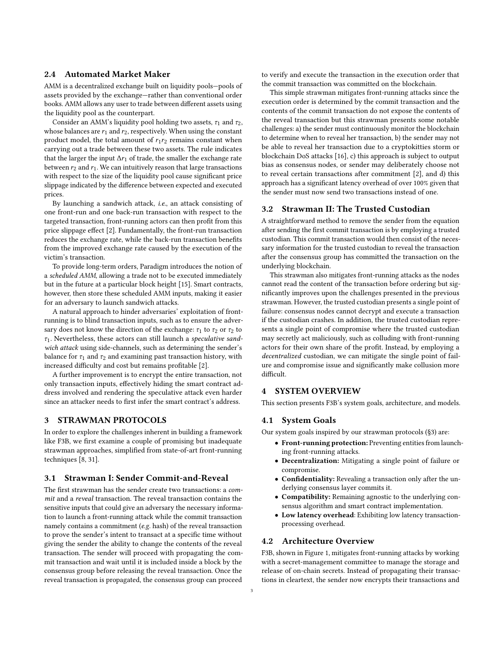## 2.4 Automated Market Maker

AMM is a decentralized exchange built on liquidity pools—pools of assets provided by the exchange—rather than conventional order books. AMM allows any user to trade between different assets using the liquidity pool as the counterpart.

Consider an AMM's liquidity pool holding two assets,  $\tau_1$  and  $\tau_2$ , whose balances are  $r_1$  and  $r_2$ , respectively. When using the constant product model, the total amount of  $r_1r_2$  remains constant when carrying out a trade between these two assets. The rule indicates that the larger the input  $\Delta r_1$  of trade, the smaller the exchange rate between  $r_2$  and  $r_1$ . We can intuitively reason that large transactions with respect to the size of the liquidity pool cause significant price slippage indicated by the difference between expected and executed prices.

By launching a sandwich attack, i.e., an attack consisting of one front-run and one back-run transaction with respect to the targeted transaction, front-running actors can then profit from this price slippage effect [\[2\]](#page-11-5). Fundamentally, the front-run transaction reduces the exchange rate, while the back-run transaction benefits from the improved exchange rate caused by the execution of the victim's transaction.

To provide long-term orders, Paradigm introduces the notion of a scheduled AMM, allowing a trade not to be executed immediately but in the future at a particular block height [\[15\]](#page-11-24). Smart contracts, however, then store these scheduled AMM inputs, making it easier for an adversary to launch sandwich attacks.

A natural approach to hinder adversaries' exploitation of frontrunning is to blind transaction inputs, such as to ensure the adversary does not know the direction of the exchange:  $\tau_1$  to  $\tau_2$  or  $\tau_2$  to  $\tau_1$ . Nevertheless, these actors can still launch a speculative sandwich attack using side-channels, such as determining the sender's balance for  $\tau_1$  and  $\tau_2$  and examining past transaction history, with increased difficulty and cost but remains profitable [\[2\]](#page-11-5).

A further improvement is to encrypt the entire transaction, not only transaction inputs, effectively hiding the smart contract address involved and rendering the speculative attack even harder since an attacker needs to first infer the smart contract's address.

# <span id="page-2-0"></span>3 STRAWMAN PROTOCOLS

In order to explore the challenges inherent in building a framework like F3B, we first examine a couple of promising but inadequate strawman approaches, simplified from state-of-art front-running techniques [\[8,](#page-11-17) [31\]](#page-11-9).

#### <span id="page-2-2"></span>3.1 Strawman I: Sender Commit-and-Reveal

The first strawman has the sender create two transactions: a commit and a reveal transaction. The reveal transaction contains the sensitive inputs that could give an adversary the necessary information to launch a front-running attack while the commit transaction namely contains a commitment (e.g. hash) of the reveal transaction to prove the sender's intent to transact at a specific time without giving the sender the ability to change the contents of the reveal transaction. The sender will proceed with propagating the commit transaction and wait until it is included inside a block by the consensus group before releasing the reveal transaction. Once the reveal transaction is propagated, the consensus group can proceed

to verify and execute the transaction in the execution order that the commit transaction was committed on the blockchain.

This simple strawman mitigates front-running attacks since the execution order is determined by the commit transaction and the contents of the commit transaction do not expose the contents of the reveal transaction but this strawman presents some notable challenges: a) the sender must continuously monitor the blockchain to determine when to reveal her transaction, b) the sender may not be able to reveal her transaction due to a cryptokitties storm or blockchain DoS attacks [\[16\]](#page-11-2), c) this approach is subject to output bias as consensus nodes, or sender may deliberately choose not to reveal certain transactions after commitment [\[2\]](#page-11-5), and d) this approach has a significant latency overhead of over 100% given that the sender must now send two transactions instead of one.

### 3.2 Strawman II: The Trusted Custodian

A straightforward method to remove the sender from the equation after sending the first commit transaction is by employing a trusted custodian. This commit transaction would then consist of the necessary information for the trusted custodian to reveal the transaction after the consensus group has committed the transaction on the underlying blockchain.

This strawman also mitigates front-running attacks as the nodes cannot read the content of the transaction before ordering but significantly improves upon the challenges presented in the previous strawman. However, the trusted custodian presents a single point of failure: consensus nodes cannot decrypt and execute a transaction if the custodian crashes. In addition, the trusted custodian represents a single point of compromise where the trusted custodian may secretly act maliciously, such as colluding with front-running actors for their own share of the profit. Instead, by employing a decentralized custodian, we can mitigate the single point of failure and compromise issue and significantly make collusion more difficult.

## 4 SYSTEM OVERVIEW

This section presents F3B's system goals, architecture, and models.

## <span id="page-2-1"></span>4.1 System Goals

Our system goals inspired by our strawman protocols ([§3\)](#page-2-0) are:

- Front-running protection: Preventing entities from launching front-running attacks.
- Decentralization: Mitigating a single point of failure or compromise.
- Confidentiality: Revealing a transaction only after the underlying consensus layer commits it.
- Compatibility: Remaining agnostic to the underlying consensus algorithm and smart contract implementation.
- Low latency overhead: Exhibiting low latency transactionprocessing overhead.

## 4.2 Architecture Overview

F3B, shown in Figure [1,](#page-1-0) mitigates front-running attacks by working with a secret-management committee to manage the storage and release of on-chain secrets. Instead of propagating their transactions in cleartext, the sender now encrypts their transactions and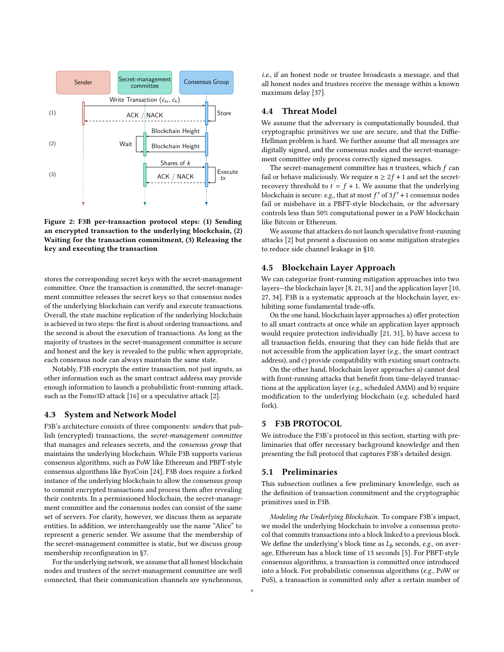<span id="page-3-0"></span>

Figure 2: F3B per-transaction protocol steps: (1) Sending an encrypted transaction to the underlying blockchain, (2) Waiting for the transaction commitment, (3) Releasing the key and executing the transaction

stores the corresponding secret keys with the secret-management committee. Once the transaction is committed, the secret-management committee releases the secret keys so that consensus nodes of the underlying blockchain can verify and execute transactions. Overall, the state machine replication of the underlying blockchain is achieved in two steps: the first is about ordering transactions, and the second is about the execution of transactions. As long as the majority of trustees in the secret-management committee is secure and honest and the key is revealed to the public when appropriate, each consensus node can always maintain the same state.

Notably, F3B encrypts the entire transaction, not just inputs, as other information such as the smart contract address may provide enough information to launch a probabilistic front-running attack, such as the Fomo3D attack [\[16\]](#page-11-2) or a speculative attack [\[2\]](#page-11-5).

#### 4.3 System and Network Model

F3B's architecture consists of three components: senders that publish (encrypted) transactions, the secret-management committee that manages and releases secrets, and the consensus group that maintains the underlying blockchain. While F3B supports various consensus algorithms, such as PoW like Ethereum and PBFT-style consensus algorithms like ByzCoin [\[24\]](#page-11-15), F3B does require a forked instance of the underlying blockchain to allow the consensus group to commit encrypted transactions and process them after revealing their contents. In a permissioned blockchain, the secret-management committee and the consensus nodes can consist of the same set of servers. For clarity, however, we discuss them as separate entities. In addition, we interchangeably use the name "Alice" to represent a generic sender. We assume that the membership of the secret-management committee is static, but we discuss group membership reconfiguration in [§7.](#page-6-0)

For the underlying network, we assume that all honest blockchain nodes and trustees of the secret-management committee are well connected, that their communication channels are synchronous,

i.e., if an honest node or trustee broadcasts a message, and that all honest nodes and trustees receive the message within a known maximum delay [\[37\]](#page-11-25).

## <span id="page-3-2"></span>4.4 Threat Model

We assume that the adversary is computationally bounded, that cryptographic primitives we use are secure, and that the Diffie-Hellman problem is hard. We further assume that all messages are digitally signed, and the consensus nodes and the secret-management committee only process correctly signed messages.

The secret-management committee has  $n$  trustees, which  $f$  can fail or behave maliciously. We require  $n \geq 2f + 1$  and set the secretrecovery threshold to  $t = f + 1$ . We assume that the underlying blockchain is secure: e.g., that at most  $f'$  of  $3f' + 1$  consensus nodes fail or misbehave in a PBFT-style blockchain, or the adversary controls less than 50% computational power in a PoW blockchain like Bitcoin or Ethereum.

We assume that attackers do not launch speculative front-running attacks [\[2\]](#page-11-5) but present a discussion on some mitigation strategies to reduce side channel leakage in [§10.](#page-8-0)

## 4.5 Blockchain Layer Approach

We can categorize front-running mitigation approaches into two layers—the blockchain layer [\[8,](#page-11-17) [21,](#page-11-8) [31\]](#page-11-9) and the application layer [\[10,](#page-11-10) [27,](#page-11-26) [34\]](#page-11-27). F3B is a systematic approach at the blockchain layer, exhibiting some fundamental trade-offs.

On the one hand, blockchain layer approaches a) offer protection to all smart contracts at once while an application layer approach would require protection individually [\[21,](#page-11-8) [31\]](#page-11-9), b) have access to all transaction fields, ensuring that they can hide fields that are not accessible from the application layer (e.g., the smart contract address), and c) provide compatibility with existing smart contracts.

On the other hand, blockchain layer approaches a) cannot deal with front-running attacks that benefit from time-delayed transactions at the application layer (e.g., scheduled AMM) and b) require modification to the underlying blockchain (e.g. scheduled hard fork).

## 5 F3B PROTOCOL

We introduce the F3B's protocol in this section, starting with preliminaries that offer necessary background knowledge and then presenting the full protocol that captures F3B's detailed design.

#### 5.1 Preliminaries

This subsection outlines a few preliminary knowledge, such as the definition of transaction commitment and the cryptographic primitives used in F3B.

<span id="page-3-1"></span>Modeling the Underlying Blockchain. To compare F3B's impact, we model the underlying blockchain to involve a consensus protocol that commits transactions into a block linked to a previous block. We define the underlying's block time as  $L_b$  seconds, e.g., on average, Ethereum has a block time of 13 seconds [\[5\]](#page-11-16). For PBFT-style consensus algorithms, a transaction is committed once introduced into a block. For probabilistic consensus algorithms (e.g., PoW or PoS), a transaction is committed only after a certain number of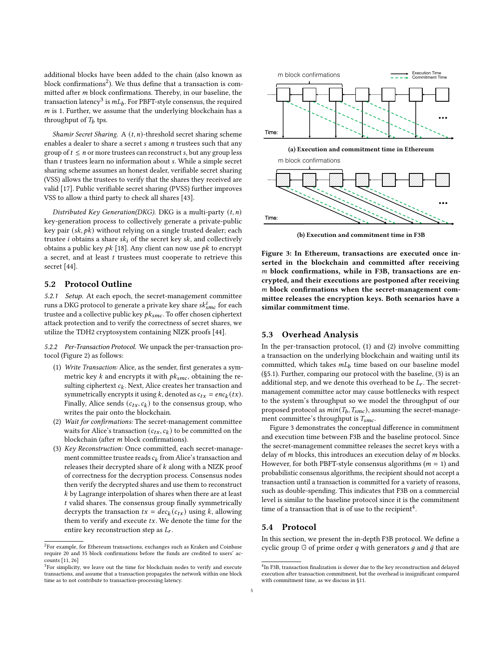additional blocks have been added to the chain (also known as block confirmations<sup>[2](#page-4-0)</sup>). We thus define that a transaction is committed after  $m$  block confirmations. Thereby, in our baseline, the transaction latency $^3$  $^3$  is  $m L_b$ . For PBFT-style consensus, the required  $m$  is 1. Further, we assume that the underlying blockchain has a throughput of  $T_b$  tps.

Shamir Secret Sharing. A  $(t, n)$ -threshold secret sharing scheme enables a dealer to share a secret  $s$  among  $n$  trustees such that any group of  $t \leq n$  or more trustees can reconstruct s, but any group less than  $t$  trustees learn no information about  $s$ . While a simple secret sharing scheme assumes an honest dealer, verifiable secret sharing (VSS) allows the trustees to verify that the shares they received are valid [\[17\]](#page-11-28). Public verifiable secret sharing (PVSS) further improves VSS to allow a third party to check all shares [\[43\]](#page-11-29).

Distributed Key Generation(DKG). DKG is a multi-party  $(t, n)$ key-generation process to collectively generate a private-public key pair  $(sk, pk)$  without relying on a single trusted dealer; each trustee *i* obtains a share  $sk_i$  of the secret key  $sk$ , and collectively obtains a public key  $pk$  [\[18\]](#page-11-30). Any client can now use  $pk$  to encrypt a secret, and at least  $t$  trustees must cooperate to retrieve this secret [\[44\]](#page-11-31).

#### <span id="page-4-7"></span>5.2 Protocol Outline

5.2.1 Setup. At each epoch, the secret-management committee runs a DKG protocol to generate a private key share  $sk_{smc}^i$  for each trustee and a collective public key  $pk_{smc}$ . To offer chosen ciphertext attack protection and to verify the correctness of secret shares, we utilize the TDH2 cryptosystem containing NIZK proofs [\[44\]](#page-11-31).

5.2.2 Per-Transaction Protocol. We unpack the per-transaction protocol (Figure [2\)](#page-3-0) as follows:

- <span id="page-4-2"></span>(1) Write Transaction: Alice, as the sender, first generates a symmetric key  $k$  and encrypts it with  $pk_{smc}$ , obtaining the resulting ciphertext  $c_k$ . Next, Alice creates her transaction and symmetrically encrypts it using k, denoted as  $c_{tx} = enc_k(tx)$ . Finally, Alice sends  $(c_{tx}, c_k)$  to the consensus group, who writes the pair onto the blockchain.
- <span id="page-4-3"></span>(2) Wait for confirmations: The secret-management committee waits for Alice's transaction  $(c_{tx}, c_k)$  to be committed on the blockchain (after  $m$  block confirmations).
- <span id="page-4-4"></span>(3) Key Reconstruction: Once committed, each secret-management committee trustee reads  $c_k$  from Alice's transaction and releases their decrypted share of  $k$  along with a NIZK proof of correctness for the decryption process. Consensus nodes then verify the decrypted shares and use them to reconstruct  $k$  by Lagrange interpolation of shares when there are at least  $t$  valid shares. The consensus group finally symmetrically decrypts the transaction  $tx = dec_k(c_{tx})$  using k, allowing them to verify and execute  $tx$ . We denote the time for the entire key reconstruction step as  $L_r$ .

<span id="page-4-5"></span>

(b) Execution and commitment time in F3B

Figure 3: In Ethereum, transactions are executed once inserted in the blockchain and committed after receiving  $m$  block confirmations, while in F3B, transactions are encrypted, and their executions are postponed after receiving m block confirmations when the secret-management committee releases the encryption keys. Both scenarios have a similar commitment time.

#### 5.3 Overhead Analysis

In the per-transaction protocol, [\(1\)](#page-4-2) and [\(2\)](#page-4-3) involve committing a transaction on the underlying blockchain and waiting until its committed, which takes  $mL_b$  time based on our baseline model ([§5.1\)](#page-3-1). Further, comparing our protocol with the baseline, [\(3\)](#page-4-4) is an additional step, and we denote this overhead to be  $L_r$ . The secretmanagement committee actor may cause bottlenecks with respect to the system's throughput so we model the throughput of our proposed protocol as  $min(T_b, T_{smc})$ , assuming the secret-management committee's throughput is  $T_{smc}$ .

Figure [3](#page-4-5) demonstrates the conceptual difference in commitment and execution time between F3B and the baseline protocol. Since the secret-management committee releases the secret keys with a delay of  $m$  blocks, this introduces an execution delay of  $m$  blocks. However, for both PBFT-style consensus algorithms ( $m = 1$ ) and probabilistic consensus algorithms, the recipient should not accept a transaction until a transaction is committed for a variety of reasons, such as double-spending. This indicates that F3B on a commercial level is similar to the baseline protocol since it is the commitment time of a transaction that is of use to the recipient<sup>[4](#page-4-6)</sup>.

#### 5.4 Protocol

In this section, we present the in-depth F3B protocol. We define a cyclic group  $G$  of prime order q with generators q and  $\bar{g}$  that are

<span id="page-4-0"></span> ${}^{2}$ For example, for Ethereum transactions, exchanges such as Kraken and Coinbase require 20 and 35 block confirmations before the funds are credited to users' accounts [\[11,](#page-11-18) [26\]](#page-11-19)

<span id="page-4-1"></span><sup>&</sup>lt;sup>3</sup>For simplicity, we leave out the time for blockchain nodes to verify and execute transactions, and assume that a transaction propagates the network within one block time as to not contribute to transaction-processing latency.

<span id="page-4-6"></span><sup>&</sup>lt;sup>4</sup>In F3B, transaction finalization is slower due to the key reconstruction and delayed execution after transaction commitment, but the overhead is insignificant compared with commitment time, as we discuss in [§11.](#page-9-0)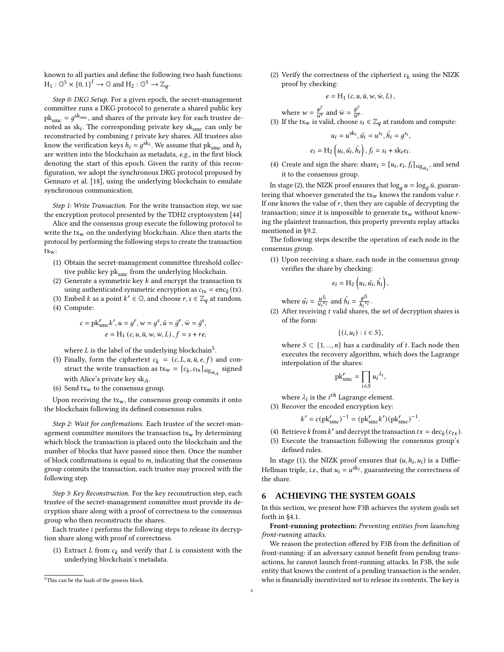known to all parties and define the following two hash functions:  $H_1 : \mathbb{G}^5 \times \{0, 1\}^l \to \mathbb{G}$  and  $H_2 : \mathbb{G}^3 \to \mathbb{Z}_q$ .

Step 0: DKG Setup. For a given epoch, the secret-management committee runs a DKG protocol to generate a shared public key  $\mathrm{pk}_{\mathrm{smc}} = g^{\mathrm{sk}_{\mathrm{smc}}}$ , and shares of the private key for each trustee denoted as  $\mathrm{sk}_i$ . The corresponding private key  $\mathrm{sk}_{\mathrm{smc}}$  can only be reconstructed by combining  $t$  private key shares. All trustees also know the verification keys  $h_i = g^{\text{sk}_i}$ . We assume that  $\text{pk}_{\text{smc}}$  and  $h_i$ are written into the blockchain as metadata, e.g., in the first block denoting the start of this epoch. Given the rarity of this reconfiguration, we adopt the synchronous DKG protocol proposed by Gennaro et al. [\[18\]](#page-11-30), using the underlying blockchain to emulate synchronous communication.

Step 1: Write Transaction. For the write transaction step, we use the encryption protocol presented by the TDH2 cryptosystem [\[44\]](#page-11-31)

Alice and the consensus group execute the following protocol to write the  $tx_w$  on the underlying blockchain. Alice then starts the protocol by performing the following steps to create the transaction txw:

- (1) Obtain the secret-management committee threshold collective public key  $pk_{smc}$  from the underlying blockchain.
- (2) Generate a symmetric key  $k$  and encrypt the transaction tx using authenticated symmetric encryption as  $c_{tx} = enc_k(tx)$ .
- (3) Embed k as a point  $k' \in \mathbb{G}$ , and choose  $r, s \in \mathbb{Z}_q$  at random.
- (4) Compute:

$$
c = \mathrm{pk}_{\mathrm{smc}}^r k', u = g^r, w = g^s, \bar{u} = \bar{g}^r, \bar{w} = \bar{g}^s,
$$
  

$$
e = \mathrm{H}_1(c, u, \bar{u}, w, \bar{w}, L), f = s + re,
$$

where  $L$  is the label of the underlying blockchain<sup>[5](#page-5-0)</sup>.

- (5) Finally, form the ciphertext  $c_k = (c, L, u, \bar{u}, e, f)$  and construct the write transaction as  $tx_w = [c_k, c_{tx}]_{sig_{sk_A}}$  signed with Alice's private key  $sk_A$ .
- (6) Send  $tx_w$  to the consensus group.

Upon receiving the  $tx_w$ , the consensus group commits it onto the blockchain following its defined consensus rules.

Step 2: Wait for confirmations. Each trustee of the secret-management committee monitors the transaction  $tx_w$  by determining which block the transaction is placed onto the blockchain and the number of blocks that have passed since then. Once the number of block confirmations is equal to  $m$ , indicating that the consensus group commits the transaction, each trustee may proceed with the following step.

Step 3: Key Reconstruction. For the key reconstruction step, each trustee of the secret-management committee must provide its decryption share along with a proof of correctness to the consensus group who then reconstructs the shares.

Each trustee  $i$  performs the following steps to release its decryption share along with proof of correctness.

(1) Extract  $L$  from  $c_k$  and verify that  $L$  is consistent with the underlying blockchain's metadata.

<span id="page-5-1"></span>(2) Verify the correctness of the ciphertext  $c_k$  using the NIZK proof by checking:

$$
e = H_1(c, u, \bar{u}, w, \bar{w}, L),
$$

where  $w = \frac{g^f}{u^e}$  $\frac{g^f}{u^e}$  and  $\bar{w} = \frac{\bar{g}^f}{\bar{u}^e}$  $\frac{g}{\bar{u}^e}$ . (3) If the tx<sub>w</sub> is valid, choose  $s_i \in \mathbb{Z}_q$  at random and compute:

$$
u_i = u^{\text{sk}_i}, \hat{u}_i = u^{s_i}, \hat{h}_i = g^{s_i},
$$

$$
e_i = \text{H}_2\left(u_i, \hat{u}_i, \hat{h}_i\right), f_i = s_i + \text{sk}_i e_i.
$$

(4) Create and sign the share: share  $[i] = [u_i, e_i, f_i]_{\text{sig}_{\text{sk}_i}}$ , and send it to the consensus group.

In stage [\(2\)](#page-5-1), the NIZK proof ensures that  $\log_g u = \log_{\tilde{g}} \bar{u}$ , guaranteeing that whoever generated the  $tx_w$  knows the random value  $r$ . If one knows the value of  $r$ , then they are capable of decrypting the transaction; since it is impossible to generate  $tx_w$  without knowing the plaintext transaction, this property prevents replay attacks mentioned in [§9.2.](#page-8-1)

The following steps describe the operation of each node in the consensus group.

<span id="page-5-2"></span>(1) Upon receiving a share, each node in the consensus group verifies the share by checking:

$$
e_i = \mathrm{H}_2\left(u_i, \hat{u_i}, \hat{h_i}\right),
$$

where  $\hat{u}_i = \frac{u^{f_i}}{u_i^{e_i}}$  and  $\hat{h}_i = \frac{g^{f_i}}{h_i^{e_i}}$  $\frac{g}{h_i^{e_i}}$ .

(2) After receiving  $t$  valid shares, the set of decryption shares is of the form:

 $\{(i, u_i) : i \in S\},\$ 

where  $S \subset \{1, ..., n\}$  has a cardinality of t. Each node then executes the recovery algorithm, which does the Lagrange interpolation of the shares:

$$
\mathrm{pk}_{\mathrm{smc}}^r = \prod_{i \in S} u_i^{\lambda_i},
$$

where  $\lambda_i$  is the  $i^{th}$  Lagrange element. (3) Recover the encoded encryption key:

$$
k' = c(\text{pk}_{\text{smc}}^r)^{-1} = (\text{pk}_{\text{smc}}^r k')(\text{pk}_{\text{smc}}^r)^{-1}.
$$

- (4) Retrieve *k* from *k'* and decrypt the transaction  $tx = dec_k(c_{tx})$ .
- (5) Execute the transaction following the consensus group's defined rules.

In stage [\(1\)](#page-5-2), the NIZK proof ensures that  $(u, h_i, u_i)$  is a Diffie-Hellman triple, *i.e.*, that  $u_i = u^{\text{sk}_i}$ , guaranteeing the correctness of the share.

#### 6 ACHIEVING THE SYSTEM GOALS

In this section, we present how F3B achieves the system goals set forth in [§4.1.](#page-2-1)

Front-running protection: Preventing entities from launching front-running attacks.

We reason the protection offered by F3B from the definition of front-running: if an adversary cannot benefit from pending transactions, he cannot launch front-running attacks. In F3B, the sole entity that knows the content of a pending transaction is the sender, who is financially incentivized not to release its contents. The key is

<span id="page-5-0"></span><sup>5</sup>This can be the hash of the genesis block.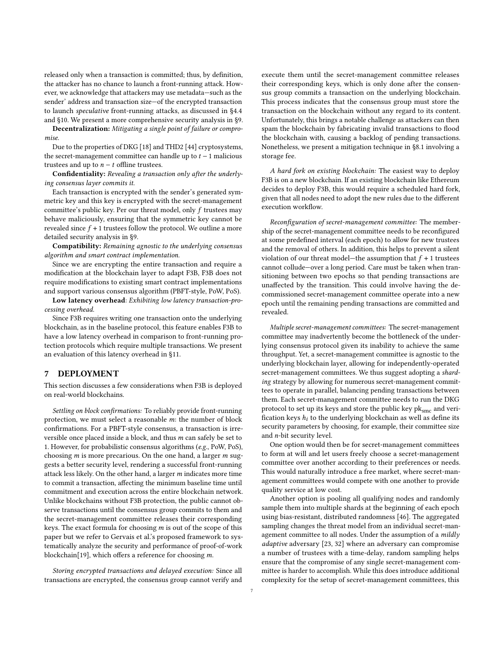released only when a transaction is committed; thus, by definition, the attacker has no chance to launch a front-running attack. However, we acknowledge that attackers may use metadata—such as the sender' address and transaction size—of the encrypted transaction to launch speculative front-running attacks, as discussed in [§4.4](#page-3-2) and [§10.](#page-8-0) We present a more comprehensive security analysis in [§9.](#page-7-0)

Decentralization: Mitigating a single point of failure or compromise.

Due to the properties of DKG [\[18\]](#page-11-30) and THD2 [\[44\]](#page-11-31) cryptosystems, the secret-management committee can handle up to  $t - 1$  malicious trustees and up to  $n - t$  offline trustees.

Confidentiality: Revealing a transaction only after the underlying consensus layer commits it.

Each transaction is encrypted with the sender's generated symmetric key and this key is encrypted with the secret-management committee's public key. Per our threat model, only  $f$  trustees may behave maliciously, ensuring that the symmetric key cannot be revealed since  $f + 1$  trustees follow the protocol. We outline a more detailed security analysis in [§9.](#page-7-0)

Compatibility: Remaining agnostic to the underlying consensus algorithm and smart contract implementation.

Since we are encrypting the entire transaction and require a modification at the blockchain layer to adapt F3B, F3B does not require modifications to existing smart contract implementations and support various consensus algorithm (PBFT-style, PoW, PoS).

Low latency overhead: Exhibiting low latency transaction-processing overhead.

Since F3B requires writing one transaction onto the underlying blockchain, as in the baseline protocol, this feature enables F3B to have a low latency overhead in comparison to front-running protection protocols which require multiple transactions. We present an evaluation of this latency overhead in [§11.](#page-9-0)

## 7 DEPLOYMENT

This section discusses a few considerations when F3B is deployed on real-world blockchains.

Settling on block confirmations: To reliably provide front-running protection, we must select a reasonable  $m$ : the number of block confirmations. For a PBFT-style consensus, a transaction is irreversible once placed inside a block, and thus  $m$  can safely be set to 1. However, for probabilistic consensus algorithms (e.g., PoW, PoS), choosing  $m$  is more precarious. On the one hand, a larger  $m$  suggests a better security level, rendering a successful front-running attack less likely. On the other hand, a larger  $m$  indicates more time to commit a transaction, affecting the minimum baseline time until commitment and execution across the entire blockchain network. Unlike blockchains without F3B protection, the public cannot observe transactions until the consensus group commits to them and the secret-management committee releases their corresponding keys. The exact formula for choosing  $m$  is out of the scope of this paper but we refer to Gervais et al.'s proposed framework to systematically analyze the security and performance of proof-of-work blockchain[\[19\]](#page-11-32), which offers a reference for choosing  $m$ .

Storing encrypted transactions and delayed execution: Since all transactions are encrypted, the consensus group cannot verify and execute them until the secret-management committee releases their corresponding keys, which is only done after the consensus group commits a transaction on the underlying blockchain. This process indicates that the consensus group must store the transaction on the blockchain without any regard to its content. Unfortunately, this brings a notable challenge as attackers can then spam the blockchain by fabricating invalid transactions to flood the blockchain with, causing a backlog of pending transactions. Nonetheless, we present a mitigation technique in [§8.1](#page-7-1) involving a storage fee.

<span id="page-6-0"></span>A hard fork on existing blockchain: The easiest way to deploy F3B is on a new blockchain. If an existing blockchain like Ethereum decides to deploy F3B, this would require a scheduled hard fork, given that all nodes need to adopt the new rules due to the different execution workflow.

Reconfiguration of secret-management committee: The membership of the secret-management committee needs to be reconfigured at some predefined interval (each epoch) to allow for new trustees and the removal of others. In addition, this helps to prevent a silent violation of our threat model—the assumption that  $f + 1$  trustees cannot collude—over a long period. Care must be taken when transitioning between two epochs so that pending transactions are unaffected by the transition. This could involve having the decommissioned secret-management committee operate into a new epoch until the remaining pending transactions are committed and revealed.

Multiple secret-management committees: The secret-management committee may inadvertently become the bottleneck of the underlying consensus protocol given its inability to achieve the same throughput. Yet, a secret-management committee is agnostic to the underlying blockchain layer, allowing for independently-operated secret-management committees. We thus suggest adopting a sharding strategy by allowing for numerous secret-management committees to operate in parallel, balancing pending transactions between them. Each secret-management committee needs to run the DKG protocol to set up its keys and store the public key  $pk_{smc}$  and verification keys  $h_i$  to the underlying blockchain as well as define its security parameters by choosing, for example, their committee size and  $n$ -bit security level.

One option would then be for secret-management committees to form at will and let users freely choose a secret-management committee over another according to their preferences or needs. This would naturally introduce a free market, where secret-management committees would compete with one another to provide quality service at low cost.

Another option is pooling all qualifying nodes and randomly sample them into multiple shards at the beginning of each epoch using bias-resistant, distributed randomness [\[46\]](#page-11-33). The aggregated sampling changes the threat model from an individual secret-management committee to all nodes. Under the assumption of a mildly adaptive adversary [\[23,](#page-11-34) [32\]](#page-11-35) where an adversary can compromise a number of trustees with a time-delay, random sampling helps ensure that the compromise of any single secret-management committee is harder to accomplish. While this does introduce additional complexity for the setup of secret-management committees, this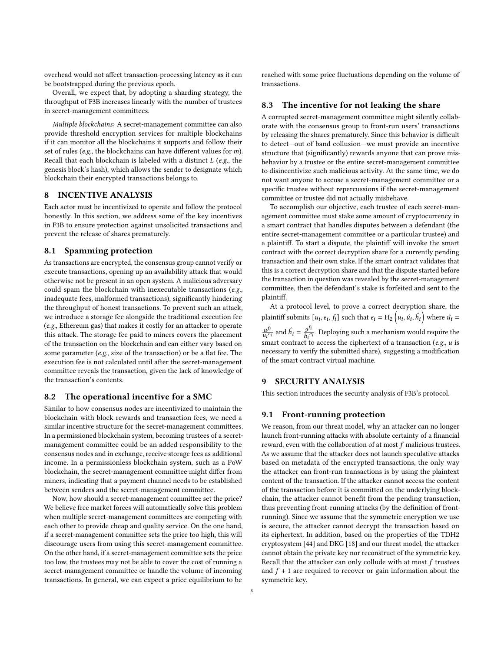overhead would not affect transaction-processing latency as it can be bootstrapped during the previous epoch.

Overall, we expect that, by adopting a sharding strategy, the throughput of F3B increases linearly with the number of trustees in secret-management committees.

Multiple blockchains: A secret-management committee can also provide threshold encryption services for multiple blockchains if it can monitor all the blockchains it supports and follow their set of rules (e.g., the blockchains can have different values for  $m$ ). Recall that each blockchain is labeled with a distinct  $L$  (e.g., the genesis block's hash), which allows the sender to designate which blockchain their encrypted transactions belongs to.

## 8 INCENTIVE ANALYSIS

Each actor must be incentivized to operate and follow the protocol honestly. In this section, we address some of the key incentives in F3B to ensure protection against unsolicited transactions and prevent the release of shares prematurely.

## <span id="page-7-1"></span>8.1 Spamming protection

As transactions are encrypted, the consensus group cannot verify or execute transactions, opening up an availability attack that would otherwise not be present in an open system. A malicious adversary could spam the blockchain with inexecutable transactions (e.g., inadequate fees, malformed transactions), significantly hindering the throughput of honest transactions. To prevent such an attack, we introduce a storage fee alongside the traditional execution fee (e.g., Ethereum gas) that makes it costly for an attacker to operate this attack. The storage fee paid to miners covers the placement of the transaction on the blockchain and can either vary based on some parameter (e.g., size of the transaction) or be a flat fee. The execution fee is not calculated until after the secret-management committee reveals the transaction, given the lack of knowledge of the transaction's contents.

#### 8.2 The operational incentive for a SMC

Similar to how consensus nodes are incentivized to maintain the blockchain with block rewards and transaction fees, we need a similar incentive structure for the secret-management committees. In a permissioned blockchain system, becoming trustees of a secretmanagement committee could be an added responsibility to the consensus nodes and in exchange, receive storage fees as additional income. In a permissionless blockchain system, such as a PoW blockchain, the secret-management committee might differ from miners, indicating that a payment channel needs to be established between senders and the secret-management committee.

Now, how should a secret-management committee set the price? We believe free market forces will automatically solve this problem when multiple secret-management committees are competing with each other to provide cheap and quality service. On the one hand, if a secret-management committee sets the price too high, this will discourage users from using this secret-management committee. On the other hand, if a secret-management committee sets the price too low, the trustees may not be able to cover the cost of running a secret-management committee or handle the volume of incoming transactions. In general, we can expect a price equilibrium to be

reached with some price fluctuations depending on the volume of transactions.

#### 8.3 The incentive for not leaking the share

A corrupted secret-management committee might silently collaborate with the consensus group to front-run users' transactions by releasing the shares prematurely. Since this behavior is difficult to detect—out of band collusion—we must provide an incentive structure that (significantly) rewards anyone that can prove misbehavior by a trustee or the entire secret-management committee to disincentivize such malicious activity. At the same time, we do not want anyone to accuse a secret-management committee or a specific trustee without repercussions if the secret-management committee or trustee did not actually misbehave.

To accomplish our objective, each trustee of each secret-management committee must stake some amount of cryptocurrency in a smart contract that handles disputes between a defendant (the entire secret-management committee or a particular trustee) and a plaintiff. To start a dispute, the plaintiff will invoke the smart contract with the correct decryption share for a currently pending transaction and their own stake. If the smart contract validates that this is a correct decryption share and that the dispute started before the transaction in question was revealed by the secret-management committee, then the defendant's stake is forfeited and sent to the plaintiff.

At a protocol level, to prove a correct decryption share, the plaintiff submits  $[u_i,e_i,f_i]$  such that  $e_i = {\rm H_2}\left( u_i,\hat{u_i},\hat{h_i} \right)$  where  $\hat{u_i}$  =  $rac{u^{f_i}}{u_i^{e_i}}$  and  $\hat{h}_i = \frac{g^{f_i}}{h_i^{e_i}}$  $\frac{g^{2}}{h_i^{2}i}$ . Deploying such a mechanism would require the smart contract to access the ciphertext of a transaction (e.g.,  $u$  is necessary to verify the submitted share), suggesting a modification of the smart contract virtual machine.

## <span id="page-7-0"></span>9 SECURITY ANALYSIS

This section introduces the security analysis of F3B's protocol.

#### 9.1 Front-running protection

We reason, from our threat model, why an attacker can no longer launch front-running attacks with absolute certainty of a financial reward, even with the collaboration of at most  $f$  malicious trustees. As we assume that the attacker does not launch speculative attacks based on metadata of the encrypted transactions, the only way the attacker can front-run transactions is by using the plaintext content of the transaction. If the attacker cannot access the content of the transaction before it is committed on the underlying blockchain, the attacker cannot benefit from the pending transaction, thus preventing front-running attacks (by the definition of frontrunning). Since we assume that the symmetric encryption we use is secure, the attacker cannot decrypt the transaction based on its ciphertext. In addition, based on the properties of the TDH2 cryptosystem [\[44\]](#page-11-31) and DKG [\[18\]](#page-11-30) and our threat model, the attacker cannot obtain the private key nor reconstruct of the symmetric key. Recall that the attacker can only collude with at most  $f$  trustees and  $f + 1$  are required to recover or gain information about the symmetric key.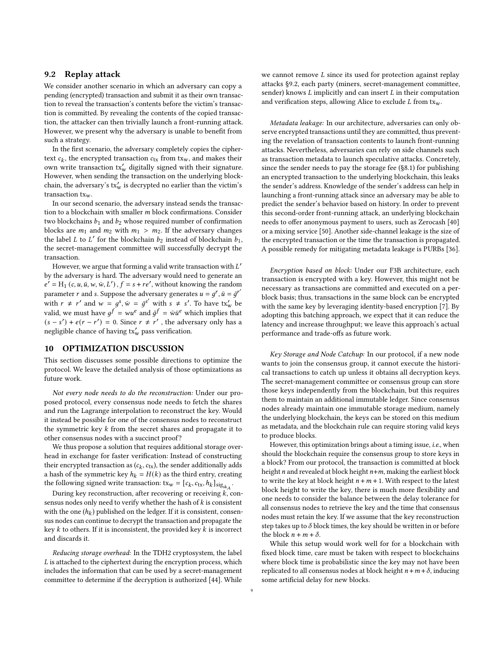## <span id="page-8-1"></span>9.2 Replay attack

We consider another scenario in which an adversary can copy a pending (encrypted) transaction and submit it as their own transaction to reveal the transaction's contents before the victim's transaction is committed. By revealing the contents of the copied transaction, the attacker can then trivially launch a front-running attack. However, we present why the adversary is unable to benefit from such a strategy.

In the first scenario, the adversary completely copies the ciphertext  $c_k$ , the encrypted transaction  $c_{tx}$  from tx<sub>w</sub>, and makes their own write transaction  $tx'_w$  digitally signed with their signature. However, when sending the transaction on the underlying blockchain, the adversary's  $\mathbf{tx}'_\mathbf{w}$  is decrypted no earlier than the victim's transaction txw.

In our second scenario, the adversary instead sends the transaction to a blockchain with smaller  $m$  block confirmations. Consider two blockchains  $b_1$  and  $b_2$  whose required number of confirmation blocks are  $m_1$  and  $m_2$  with  $m_1 > m_2$ . If the adversary changes the label *L* to *L'* for the blockchain  $b_2$  instead of blockchain  $b_1$ , the secret-management committee will successfully decrypt the transaction.

However, we argue that forming a valid write transaction with  $L'$ by the adversary is hard. The adversary would need to generate an  $e' = H_1(c, u, \bar{u}, w, \bar{w}, L')$ ,  $f = s + re'$ , without knowing the random parameter *r* and *s*. Suppose the adversary generates  $u = g^r$ ,  $\bar{u} = \bar{g}^{r'}$ with  $r \neq r'$  and  $w = g^s$ ,  $\bar{w} = \bar{g}^{s'}$  with  $s \neq s'$ . To have tx'<sub>w</sub> be valid, we must have  $g^f = w u^e$  and  $\bar{g}^f = \bar{w} \bar{u}^e$  which implies that  $(s - s') + e(r - r') = 0$ . Since  $r \neq r'$ , the adversary only has a negligible chance of having  $tx'_w$  pass verification.

## 10 OPTIMIZATION DISCUSSION

This section discusses some possible directions to optimize the protocol. We leave the detailed analysis of those optimizations as future work.

Not every node needs to do the reconstruction: Under our proposed protocol, every consensus node needs to fetch the shares and run the Lagrange interpolation to reconstruct the key. Would it instead be possible for one of the consensus nodes to reconstruct the symmetric key  $k$  from the secret shares and propagate it to other consensus nodes with a succinct proof?

We thus propose a solution that requires additional storage overhead in exchange for faster verification: Instead of constructing their encrypted transaction as  $(c_k, c_{\text{tx}})$ , the sender additionally adds a hash of the symmetric key  $h_k = H(k)$  as the third entry, creating the following signed write transaction:  $\text{txw} = [c_k, c_{\text{tx}}, h_k]_{\text{sig}_{\text{sk}_A}}$ .

During key reconstruction, after recovering or receiving  $k$ , consensus nodes only need to verify whether the hash of  $k$  is consistent with the one  $(h_k)$  published on the ledger. If it is consistent, consensus nodes can continue to decrypt the transaction and propagate the key  $k$  to others. If it is inconsistent, the provided key  $k$  is incorrect and discards it.

Reducing storage overhead: In the TDH2 cryptosystem, the label  $L$  is attached to the ciphertext during the encryption process, which includes the information that can be used by a secret-management committee to determine if the decryption is authorized [\[44\]](#page-11-31). While we cannot remove  $L$  since its used for protection against replay attacks [§9.2,](#page-8-1) each party (miners, secret-management committee, sender) knows  $L$  implicitly and can insert  $L$  in their computation and verification steps, allowing Alice to exclude  $L$  from  $tx_w$ .

<span id="page-8-0"></span>Metadata leakage: In our architecture, adversaries can only observe encrypted transactions until they are committed, thus preventing the revelation of transaction contents to launch front-running attacks. Nevertheless, adversaries can rely on side channels such as transaction metadata to launch speculative attacks. Concretely, since the sender needs to pay the storage fee ([§8.1\)](#page-7-1) for publishing an encrypted transaction to the underlying blockchain, this leaks the sender's address. Knowledge of the sender's address can help in launching a front-running attack since an adversary may be able to predict the sender's behavior based on history. In order to prevent this second-order front-running attack, an underlying blockchain needs to offer anonymous payment to users, such as Zerocash [\[40\]](#page-11-36) or a mixing service [\[50\]](#page-12-1). Another side-channel leakage is the size of the encrypted transaction or the time the transaction is propagated. A possible remedy for mitigating metadata leakage is PURBs [\[36\]](#page-11-37).

Encryption based on block: Under our F3B architecture, each transaction is encrypted with a key. However, this might not be necessary as transactions are committed and executed on a perblock basis; thus, transactions in the same block can be encrypted with the same key by leveraging identity-based encryption [\[7\]](#page-11-38). By adopting this batching approach, we expect that it can reduce the latency and increase throughput; we leave this approach's actual performance and trade-offs as future work.

Key Storage and Node Catchup: In our protocol, if a new node wants to join the consensus group, it cannot execute the historical transactions to catch up unless it obtains all decryption keys. The secret-management committee or consensus group can store those keys independently from the blockchain, but this requires them to maintain an additional immutable ledger. Since consensus nodes already maintain one immutable storage medium, namely the underlying blockchain, the keys can be stored on this medium as metadata, and the blockchain rule can require storing valid keys to produce blocks.

However, this optimization brings about a timing issue, i.e., when should the blockchain require the consensus group to store keys in a block? From our protocol, the transaction is committed at block height  $n$  and revealed at block height  $n+m$ , making the earliest block to write the key at block height  $n + m + 1$ . With respect to the latest block height to write the key, there is much more flexibility and one needs to consider the balance between the delay tolerance for all consensus nodes to retrieve the key and the time that consensus nodes must retain the key. If we assume that the key reconstruction step takes up to  $\delta$  block times, the key should be written in or before the block  $n + m + \delta$ .

While this setup would work well for for a blockchain with fixed block time, care must be taken with respect to blockchains where block time is probabilistic since the key may not have been replicated to all consensus nodes at block height  $n + m + \delta$ , inducing some artificial delay for new blocks.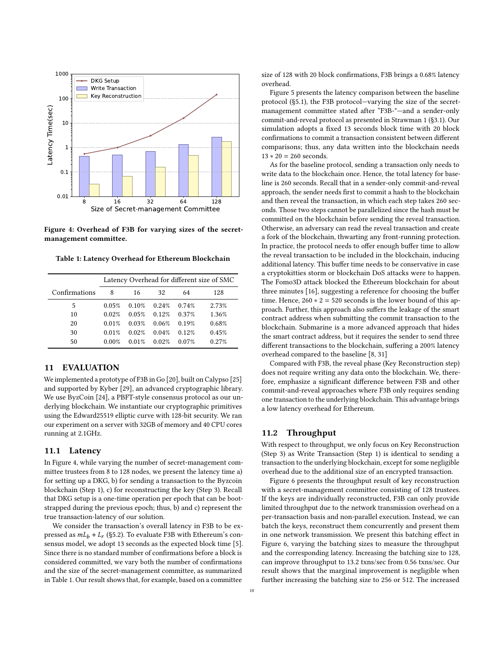<span id="page-9-1"></span>

Figure 4: Overhead of F3B for varying sizes of the secretmanagement committee.

<span id="page-9-2"></span>Table 1: Latency Overhead for Ethereum Blockchain

|               | Latency Overhead for different size of SMC |       |       |       |       |
|---------------|--------------------------------------------|-------|-------|-------|-------|
| Confirmations | 8                                          | 16    | 32    | 64    | 128   |
| 5             | 0.05%                                      | 0.10% | 0.24% | 0.74% | 2.73% |
| 10            | 0.02%                                      | 0.05% | 0.12% | 0.37% | 1.36% |
| 20            | 0.01%                                      | 0.03% | 0.06% | 0.19% | 0.68% |
| 30            | 0.01%                                      | 0.02% | 0.04% | 0.12% | 0.45% |
| 50            | 0.00%                                      | 0.01% | 0.02% | 0.07% | 0.27% |

## <span id="page-9-0"></span>11 EVALUATION

We implemented a prototype of F3B in Go [\[20\]](#page-11-14), built on Calypso [\[25\]](#page-11-13) and supported by Kyber [\[29\]](#page-11-39), an advanced cryptographic library. We use ByzCoin [\[24\]](#page-11-15), a PBFT-style consensus protocol as our underlying blockchain. We instantiate our cryptographic primitives using the Edward25519 elliptic curve with 128-bit security. We ran our experiment on a server with 32GB of memory and 40 CPU cores running at 2.1GHz.

#### 11.1 Latency

In Figure [4,](#page-9-1) while varying the number of secret-management committee trustees from 8 to 128 nodes, we present the latency time a) for setting up a DKG, b) for sending a transaction to the Byzcoin blockchain (Step [1\)](#page-4-2), c) for reconstructing the key (Step [3\)](#page-4-4). Recall that DKG setup is a one-time operation per epoch that can be bootstrapped during the previous epoch; thus, b) and c) represent the true transaction-latency of our solution.

We consider the transaction's overall latency in F3B to be expressed as  $m L_b + L_r$  ([§5.2\)](#page-4-7). To evaluate F3B with Ethereum's consensus model, we adopt 13 seconds as the expected block time [\[5\]](#page-11-16). Since there is no standard number of confirmations before a block is considered committed, we vary both the number of confirmations and the size of the secret-management committee, as summarized in Table [1.](#page-9-2) Our result shows that, for example, based on a committee

size of 128 with 20 block confirmations, F3B brings a 0.68% latency overhead.

Figure [5](#page-10-0) presents the latency comparison between the baseline protocol ([§5.1\)](#page-3-1), the F3B protocol—varying the size of the secretmanagement committee stated after "F3B-"—and a sender-only commit-and-reveal protocol as presented in Strawman 1 ([§3.1\)](#page-2-2). Our simulation adopts a fixed 13 seconds block time with 20 block confirmations to commit a transaction consistent between different comparisons; thus, any data written into the blockchain needs  $13 * 20 = 260$  seconds.

As for the baseline protocol, sending a transaction only needs to write data to the blockchain once. Hence, the total latency for baseline is 260 seconds. Recall that in a sender-only commit-and-reveal approach, the sender needs first to commit a hash to the blockchain and then reveal the transaction, in which each step takes 260 seconds. Those two steps cannot be parallelized since the hash must be committed on the blockchain before sending the reveal transaction. Otherwise, an adversary can read the reveal transaction and create a fork of the blockchain, thwarting any front-running protection. In practice, the protocol needs to offer enough buffer time to allow the reveal transaction to be included in the blockchain, inducing additional latency. This buffer time needs to be conservative in case a cryptokitties storm or blockchain DoS attacks were to happen. The Fomo3D attack blocked the Ethereum blockchain for about three minutes [\[16\]](#page-11-2), suggesting a reference for choosing the buffer time. Hence,  $260 * 2 = 520$  seconds is the lower bound of this approach. Further, this approach also suffers the leakage of the smart contract address when submitting the commit transaction to the blockchain. Submarine is a more advanced approach that hides the smart contract address, but it requires the sender to send three different transactions to the blockchain, suffering a 200% latency overhead compared to the baseline [\[8,](#page-11-17) [31\]](#page-11-9)

Compared with F3B, the reveal phase (Key Reconstruction step) does not require writing any data onto the blockchain. We, therefore, emphasize a significant difference between F3B and other commit-and-reveal approaches where F3B only requires sending one transaction to the underlying blockchain. This advantage brings a low latency overhead for Ethereum.

## 11.2 Throughput

With respect to throughput, we only focus on Key Reconstruction (Step 3) as Write Transaction (Step 1) is identical to sending a transaction to the underlying blockchain, except for some negligible overhead due to the additional size of an encrypted transaction.

Figure [6](#page-10-1) presents the throughput result of key reconstruction with a secret-management committee consisting of 128 trustees. If the keys are individually reconstructed, F3B can only provide limited throughput due to the network transmission overhead on a per-transaction basis and non-parallel execution. Instead, we can batch the keys, reconstruct them concurrently and present them in one network transmission. We present this batching effect in Figure [6,](#page-10-1) varying the batching sizes to measure the throughput and the corresponding latency. Increasing the batching size to 128, can improve throughput to 13.2 txns/sec from 0.56 txns/sec. Our result shows that the marginal improvement is negligible when further increasing the batching size to 256 or 512. The increased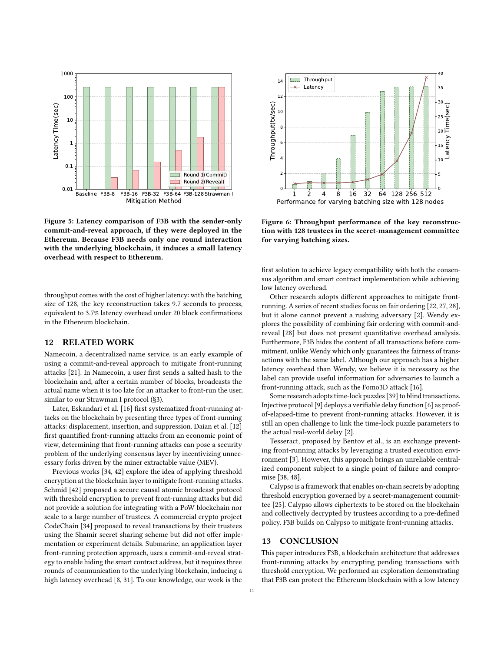<span id="page-10-0"></span>

Figure 5: Latency comparison of F3B with the sender-only commit-and-reveal approach, if they were deployed in the Ethereum. Because F3B needs only one round interaction with the underlying blockchain, it induces a small latency overhead with respect to Ethereum.

throughput comes with the cost of higher latency: with the batching size of 128, the key reconstruction takes 9.7 seconds to process, equivalent to 3.7% latency overhead under 20 block confirmations in the Ethereum blockchain.

## 12 RELATED WORK

Namecoin, a decentralized name service, is an early example of using a commit-and-reveal approach to mitigate front-running attacks [\[21\]](#page-11-8). In Namecoin, a user first sends a salted hash to the blockchain and, after a certain number of blocks, broadcasts the actual name when it is too late for an attacker to front-run the user, similar to our Strawman I protocol ([§3\)](#page-2-0).

Later, Eskandari et al. [\[16\]](#page-11-2) first systematized front-running attacks on the blockchain by presenting three types of front-running attacks: displacement, insertion, and suppression. Daian et al. [\[12\]](#page-11-3) first quantified front-running attacks from an economic point of view, determining that front-running attacks can pose a security problem of the underlying consensus layer by incentivizing unnecessary forks driven by the miner extractable value (MEV).

Previous works [\[34,](#page-11-27) [42\]](#page-11-11) explore the idea of applying threshold encryption at the blockchain layer to mitigate front-running attacks. Schmid [\[42\]](#page-11-11) proposed a secure causal atomic broadcast protocol with threshold encryption to prevent front-running attacks but did not provide a solution for integrating with a PoW blockchain nor scale to a large number of trustees. A commercial crypto project CodeChain [\[34\]](#page-11-27) proposed to reveal transactions by their trustees using the Shamir secret sharing scheme but did not offer implementation or experiment details. Submarine, an application layer front-running protection approach, uses a commit-and-reveal strategy to enable hiding the smart contract address, but it requires three rounds of communication to the underlying blockchain, inducing a high latency overhead [\[8,](#page-11-17) [31\]](#page-11-9). To our knowledge, our work is the

<span id="page-10-1"></span>

Figure 6: Throughput performance of the key reconstruction with 128 trustees in the secret-management committee for varying batching sizes.

first solution to achieve legacy compatibility with both the consensus algorithm and smart contract implementation while achieving low latency overhead.

Other research adopts different approaches to mitigate frontrunning. A series of recent studies focus on fair ordering [\[22,](#page-11-40) [27,](#page-11-26) [28\]](#page-11-41), but it alone cannot prevent a rushing adversary [\[2\]](#page-11-5). Wendy explores the possibility of combining fair ordering with commit-andreveal [\[28\]](#page-11-41) but does not present quantitative overhead analysis. Furthermore, F3B hides the content of all transactions before commitment, unlike Wendy which only guarantees the fairness of transactions with the same label. Although our approach has a higher latency overhead than Wendy, we believe it is necessary as the label can provide useful information for adversaries to launch a front-running attack, such as the Fomo3D attack [\[16\]](#page-11-2).

Some research adopts time-lock puzzles [\[39\]](#page-11-42) to blind transactions. Injective protocol [\[9\]](#page-11-43) deploys a verifiable delay function [\[6\]](#page-11-44) as proofof-elapsed-time to prevent front-running attacks. However, it is still an open challenge to link the time-lock puzzle parameters to the actual real-world delay [\[2\]](#page-11-5).

Tesseract, proposed by Bentov et al., is an exchange preventing front-running attacks by leveraging a trusted execution environment [\[3\]](#page-11-45). However, this approach brings an unreliable centralized component subject to a single point of failure and compromise [\[38,](#page-11-46) [48\]](#page-11-47).

Calypso is a framework that enables on-chain secrets by adopting threshold encryption governed by a secret-management committee [\[25\]](#page-11-13). Calypso allows ciphertexts to be stored on the blockchain and collectively decrypted by trustees according to a pre-defined policy. F3B builds on Calypso to mitigate front-running attacks.

### 13 CONCLUSION

This paper introduces F3B, a blockchain architecture that addresses front-running attacks by encrypting pending transactions with threshold encryption. We performed an exploration demonstrating that F3B can protect the Ethereum blockchain with a low latency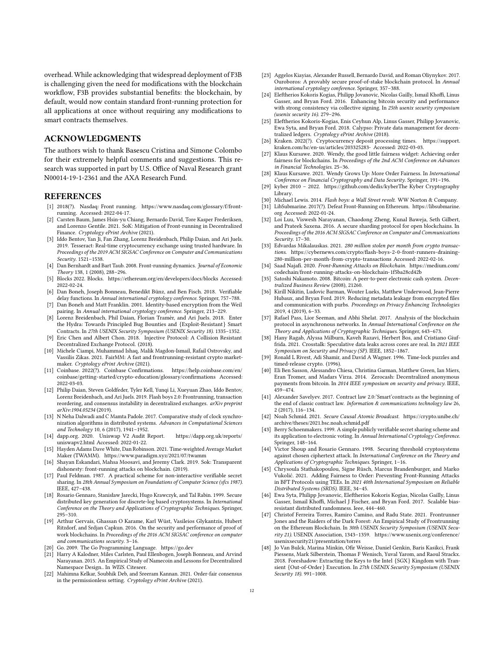overhead. While acknowledging that widespread deployment of F3B is challenging given the need for modifications with the blockchain workflow, F3B provides substantial benefits: the blockchain, by default, would now contain standard front-running protection for all applications at once without requiring any modifications to smart contracts themselves.

## ACKNOWLEDGMENTS

The authors wish to thank Basescu Cristina and Simone Colombo for their extremely helpful comments and suggestions. This research was supported in part by U.S. Office of Naval Research grant N00014-19-1-2361 and the AXA Research Fund.

## REFERENCES

- <span id="page-11-0"></span>[1] 2018(?). Nasdaq: Front running. [https://www.nasdaq.com/glossary/f/front](https://www.nasdaq.com/glossary/f/front-running)[running.](https://www.nasdaq.com/glossary/f/front-running) Accessed: 2022-04-17.
- <span id="page-11-5"></span>[2] Carsten Baum, James Hsin-yu Chiang, Bernardo David, Tore Kasper Frederiksen, and Lorenzo Gentile. 2021. SoK: Mitigation of Front-running in Decentralized Finance. Cryptology ePrint Archive (2021).
- <span id="page-11-45"></span>[3] Iddo Bentov, Yan Ji, Fan Zhang, Lorenz Breidenbach, Philip Daian, and Ari Juels. 2019. Tesseract: Real-time cryptocurrency exchange using trusted hardware. In Proceedings of the 2019 ACM SIGSAC Conference on Computer and Communications Security. 1521–1538.
- <span id="page-11-1"></span>[4] Dan Bernhardt and Bart Taub. 2008. Front-running dynamics. Journal of Economic Theory 138, 1 (2008), 288–296.
- <span id="page-11-16"></span>[5] Blocks 2022. Blocks.<https://ethereum.org/en/developers/docs/blocks> Accessed: 2022-02-24.
- <span id="page-11-44"></span>[6] Dan Boneh, Joseph Bonneau, Benedikt Bünz, and Ben Fisch. 2018. Verifiable delay functions. In Annual international cryptology conference. Springer, 757–788.
- <span id="page-11-38"></span>[7] Dan Boneh and Matt Franklin. 2001. Identity-based encryption from the Weil pairing. In Annual international cryptology conference. Springer, 213–229.
- <span id="page-11-17"></span>[8] Lorenz Breidenbach, Phil Daian, Florian Tramèr, and Ari Juels. 2018. Enter the Hydra: Towards Principled Bug Bounties and {Exploit-Resistant} Smart
- <span id="page-11-43"></span>Contracts. In 27th USENIX Security Symposium (USENIX Security 18). 1335–1352. [9] Eric Chen and Albert Chon. 2018. Injective Protocol: A Collision Resistant Decentralized Exchange Protocol. (2018).
- <span id="page-11-10"></span>[10] Michele Ciampi, Muhammad Ishaq, Malik Magdon-Ismail, Rafail Ostrovsky, and Vassilis Zikas. 2021. FairMM: A fast and frontrunning-resistant crypto marketmaker. Cryptology ePrint Archive (2021).
- <span id="page-11-18"></span>[11] Coinbase. 2022(?). Coinbase Confirmations. [https://help.coinbase.com/en/](https://help.coinbase.com/en/coinbase/getting-started/crypto-education/glossary/confirmations) [coinbase/getting-started/crypto-education/glossary/confirmations](https://help.coinbase.com/en/coinbase/getting-started/crypto-education/glossary/confirmations) Accessed: 2022-03-03.
- <span id="page-11-3"></span>[12] Philip Daian, Steven Goldfeder, Tyler Kell, Yunqi Li, Xueyuan Zhao, Iddo Bentov, Lorenz Breidenbach, and Ari Juels. 2019. Flash boys 2.0: Frontrunning, transaction reordering, and consensus instability in decentralized exchanges. arXiv preprint arXiv:1904.05234 (2019).
- <span id="page-11-23"></span>[13] N Neha Dalwadi and C Mamta Padole. 2017. Comparative study of clock synchronization algorithms in distributed systems. Advances in Computational Sciences and Technology 10, 6 (2017), 1941–1952.
- <span id="page-11-7"></span>[14] dapp.org. 2020. Uniswap V2 Audit Report. [https://dapp.org.uk/reports/](https://dapp.org.uk/reports/uniswapv2.html) [uniswapv2.html](https://dapp.org.uk/reports/uniswapv2.html) Accessed: 2022-01-22.
- <span id="page-11-24"></span>[15] Hayden Adams Dave White, Dan Robinson. 2021. Time-weighted Average Market Maker (TWAMM).<https://www.paradigm.xyz/2021/07/twamm>
- <span id="page-11-2"></span>[16] Shayan Eskandari, Mahsa Moosavi, and Jeremy Clark. 2019. Sok: Transparent dishonesty: front-running attacks on blockchain. (2019).
- <span id="page-11-28"></span>[17] Paul Feldman. 1987. A practical scheme for non-interactive verifiable secret sharing. In 28th Annual Symposium on Foundations of Computer Science (sfcs 1987). IEEE, 427–438.
- <span id="page-11-30"></span>[18] Rosario Gennaro, Stanisław Jarecki, Hugo Krawczyk, and Tal Rabin. 1999. Secure distributed key generation for discrete-log based cryptosystems. In International Conference on the Theory and Applications of Cryptographic Techniques. Springer, 295–310.
- <span id="page-11-32"></span>[19] Arthur Gervais, Ghassan O Karame, Karl Wüst, Vasileios Glykantzis, Hubert Ritzdorf, and Srdjan Capkun. 2016. On the security and performance of proof of work blockchains. In Proceedings of the 2016 ACM SIGSAC conference on computer and communications security. 3–16.
- <span id="page-11-14"></span>[20] Go. 2009. The Go Programming Language.<https://go.dev>
- <span id="page-11-8"></span>[21] Harry A Kalodner, Miles Carlsten, Paul Ellenbogen, Joseph Bonneau, and Arvind Narayanan. 2015. An Empirical Study of Namecoin and Lessons for Decentralized Namespace Design.. In WEIS. Citeseer.
- <span id="page-11-40"></span>[22] Mahimna Kelkar, Soubhik Deb, and Sreeram Kannan. 2021. Order-fair consensus in the permissionless setting. Cryptology ePrint Archive (2021).
- <span id="page-11-34"></span>[23] Aggelos Kiayias, Alexander Russell, Bernardo David, and Roman Oliynykov. 2017. Ouroboros: A provably secure proof-of-stake blockchain protocol. In Annual international cryptology conference. Springer, 357–388.
- <span id="page-11-15"></span>[24] Eleftherios Kokoris Kogias, Philipp Jovanovic, Nicolas Gailly, Ismail Khoffi, Linus Gasser, and Bryan Ford. 2016. Enhancing bitcoin security and performance with strong consistency via collective signing. In 25th usenix security symposium (usenix security 16). 279–296.
- <span id="page-11-13"></span>[25] Eleftherios Kokoris-Kogias, Enis Ceyhun Alp, Linus Gasser, Philipp Jovanovic, Ewa Syta, and Bryan Ford. 2018. Calypso: Private data management for decentralized ledgers. Cryptology ePrint Archive (2018).
- <span id="page-11-19"></span>[26] Kraken. 2022(?). Cryptocurrency deposit processing times. [https://support.](https://support.kraken.com/hc/en-us/articles/203325283-) [kraken.com/hc/en-us/articles/203325283-](https://support.kraken.com/hc/en-us/articles/203325283-) Accessed: 2022-03-03.
- <span id="page-11-26"></span>[27] Klaus Kursawe. 2020. Wendy, the good little fairness widget: Achieving order fairness for blockchains. In Proceedings of the 2nd ACM Conference on Advances in Financial Technologies. 25–36.
- <span id="page-11-41"></span>[28] Klaus Kursawe. 2021. Wendy Grows Up: More Order Fairness. In International Conference on Financial Cryptography and Data Security. Springer, 191–196.
- <span id="page-11-39"></span>[29] kyber 2010 – 2022. [https://github.com/dedis/kyberT](https://github.com/dedis/kyber)he Kyber Cryptography Library.
- <span id="page-11-9"></span><span id="page-11-4"></span>[30] Michael Lewis. 2014. Flash boys: a Wall Street revolt. WW Norton & Company.<br>[31] LibSubmarine. 2017(?). Defeat Front-Running on Ethereum. https://libsubmarine LibSubmarine. 2017(?). Defeat Front-Running on Ethereum. [https://libsubmarine.](https://libsubmarine.org) [org](https://libsubmarine.org) Accessed: 2022-01-24.
- <span id="page-11-35"></span>[32] Loi Luu, Viswesh Narayanan, Chaodong Zheng, Kunal Baweja, Seth Gilbert, and Prateek Saxena. 2016. A secure sharding protocol for open blockchains. In Proceedings of the 2016 ACM SIGSAC Conference on Computer and Communications Security. 17–30.
- <span id="page-11-6"></span>[33] Edvardas Mikalauskas. 2021. 280 million stolen per month from crypto transactions. [https://cybernews.com/crypto/flash-boys-2-0-front-runners-draining-](https://cybernews.com/crypto/flash-boys-2-0-front-runners-draining-280-million-per-month-from-crypto-transactions)[280-million-per-month-from-crypto-transactions](https://cybernews.com/crypto/flash-boys-2-0-front-runners-draining-280-million-per-month-from-crypto-transactions) Accessed: 2022-02-16.
- <span id="page-11-27"></span>[34] Saad Najafi. 2020. Front-Running Attacks on Blockchain. [https://medium.com/](https://medium.com/codechain/front-running-attacks-on-blockchain-1f5ba28cd42b) [codechain/front-running-attacks-on-blockchain-1f5ba28cd42b](https://medium.com/codechain/front-running-attacks-on-blockchain-1f5ba28cd42b)
- <span id="page-11-20"></span>[35] Satoshi Nakamoto. 2008. Bitcoin: A peer-to-peer electronic cash system. Decentralized Business Review (2008), 21260.
- <span id="page-11-37"></span>[36] Kirill Nikitin, Ludovic Barman, Wouter Lueks, Matthew Underwood, Jean-Pierre Hubaux, and Bryan Ford. 2019. Reducing metadata leakage from encrypted files and communication with purbs. Proceedings on Privacy Enhancing Technologies 2019, 4 (2019), 6–33.
- <span id="page-11-25"></span>[37] Rafael Pass, Lior Seeman, and Abhi Shelat. 2017. Analysis of the blockchain protocol in asynchronous networks. In Annual International Conference on the Theory and Applications of Cryptographic Techniques. Springer, 643–673.
- <span id="page-11-46"></span>[38] Hany Ragab, Alyssa Milburn, Kaveh Razavi, Herbert Bos, and Cristiano Giuffrida. 2021. Crosstalk: Speculative data leaks across cores are real. In 2021 IEEE Symposium on Security and Privacy (SP). IEEE, 1852–1867.
- <span id="page-11-42"></span>[39] Ronald L Rivest, Adi Shamir, and David A Wagner. 1996. Time-lock puzzles and timed-release crypto. (1996).
- <span id="page-11-36"></span>[40] Eli Ben Sasson, Alessandro Chiesa, Christina Garman, Matthew Green, Ian Miers, Eran Tromer, and Madars Virza. 2014. Zerocash: Decentralized anonymous payments from bitcoin. In 2014 IEEE symposium on security and privacy. IEEE, 459–474.
- <span id="page-11-21"></span>[41] Alexander Savelyev. 2017. Contract law 2.0:'Smart'contracts as the beginning of the end of classic contract law. Information & communications technology law 26, 2 (2017), 116–134.
- <span id="page-11-11"></span>[42] Noah Schmid. 2021. Secure Causal Atomic Broadcast. [https://crypto.unibe.ch/](https://crypto.unibe.ch/archive/theses/2021.bsc.noah.schmid.pdf) [archive/theses/2021.bsc.noah.schmid.pdf](https://crypto.unibe.ch/archive/theses/2021.bsc.noah.schmid.pdf)
- <span id="page-11-29"></span>[43] Berry Schoenmakers. 1999. A simple publicly verifiable secret sharing scheme and its application to electronic voting. In Annual International Cryptology Conference. Springer, 148–164.
- <span id="page-11-31"></span>[44] Victor Shoup and Rosario Gennaro. 1998. Securing threshold cryptosystems against chosen ciphertext attack. In International Conference on the Theory and Applications of Cryptographic Techniques. Springer, 1–16.
- <span id="page-11-12"></span>[45] Chrysoula Stathakopoulou, Signe Rüsch, Marcus Brandenburger, and Marko Vukolić. 2021. Adding Fairness to Order: Preventing Front-Running Attacks in BFT Protocols using TEEs. In 2021 40th International Symposium on Reliable Distributed Systems (SRDS). IEEE, 34–45.
- <span id="page-11-33"></span>[46] Ewa Syta, Philipp Jovanovic, Eleftherios Kokoris Kogias, Nicolas Gailly, Linus Gasser, Ismail Khoffi, Michael J Fischer, and Bryan Ford. 2017. Scalable biasresistant distributed randomness. Ieee, 444–460.
- <span id="page-11-22"></span>[47] Christof Ferreira Torres, Ramiro Camino, and Radu State. 2021. Frontrunner Jones and the Raiders of the Dark Forest: An Empirical Study of Frontrunning on the Ethereum Blockchain. In 30th USENIX Security Symposium (USENIX Security 21). USENIX Association, 1343–1359. [https://www.usenix.org/conference/](https://www.usenix.org/conference/usenixsecurity21/presentation/torres) [usenixsecurity21/presentation/torres](https://www.usenix.org/conference/usenixsecurity21/presentation/torres)
- <span id="page-11-47"></span>[48] Jo Van Bulck, Marina Minkin, Ofir Weisse, Daniel Genkin, Baris Kasikci, Frank Piessens, Mark Silberstein, Thomas F Wenisch, Yuval Yarom, and Raoul Strackx. 2018. Foreshadow: Extracting the Keys to the Intel {SGX} Kingdom with Transient {Out-of-Order} Execution. In 27th USENIX Security Symposium (USENIX Security 18). 991–1008.